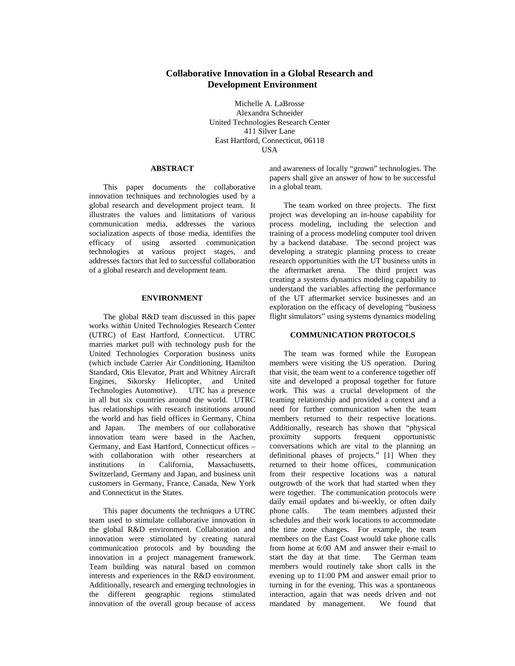## **Collaborative Innovation in a Global Research and Development Environment**

Michelle A. LaBrosse Alexandra Schneider United Technologies Research Center 411 Silver Lane East Hartford, Connecticut, 06118 USA

#### **ABSTRACT**

This paper documents the collaborative innovation techniques and technologies used by a global research and development project team. It illustrates the values and limitations of various communication media, addresses the various socialization aspects of those media, identifies the efficacy of using assorted communication technologies at various project stages, and addresses factors that led to successful collaboration of a global research and development team.

## **ENVIRONMENT**

The global R&D team discussed in this paper works within United Technologies Research Center (UTRC) of East Hartford, Connecticut. UTRC marries market pull with technology push for the United Technologies Corporation business units (which include Carrier Air Conditioning, Hamilton Standard, Otis Elevator, Pratt and Whitney Aircraft Engines, Sikorsky Helicopter, and United Technologies Automotive). UTC has a presence in all but six countries around the world. UTRC has relationships with research institutions around the world and has field offices in Germany, China and Japan. The members of our collaborative innovation team were based in the Aachen, Germany, and East Hartford, Connecticut offices – with collaboration with other researchers at institutions in California, Massachusetts, Switzerland, Germany and Japan, and business unit customers in Germany, France, Canada, New York and Connecticut in the States.

This paper documents the techniques a UTRC team used to stimulate collaborative innovation in the global R&D environment. Collaboration and innovation were stimulated by creating natural communication protocols and by bounding the innovation in a project management framework. Team building was natural based on common interests and experiences in the R&D environment. Additionally, research and emerging technologies in the different geographic regions stimulated innovation of the overall group because of access

and awareness of locally "grown" technologies. The papers shall give an answer of how to be successful in a global team.

The team worked on three projects. The first project was developing an in-house capability for process modeling, including the selection and training of a process modeling computer tool driven by a backend database. The second project was developing a strategic planning process to create research opportunities with the UT business units in the aftermarket arena. The third project was creating a systems dynamics modeling capability to understand the variables affecting the performance of the UT aftermarket service businesses and an exploration on the efficacy of developing "business flight simulators" using systems dynamics modeling

#### **COMMUNICATION PROTOCOLS**

The team was formed while the European members were visiting the US operation. During that visit, the team went to a conference together off site and developed a proposal together for future work. This was a crucial development of the teaming relationship and provided a context and a need for further communication when the team members returned to their respective locations. Additionally, research has shown that "physical proximity supports frequent opportunistic conversations which are vital to the planning an definitional phases of projects." [1] When they returned to their home offices, communication from their respective locations was a natural outgrowth of the work that had started when they were together. The communication protocols were daily email updates and bi-weekly, or often daily phone calls. The team members adjusted their schedules and their work locations to accommodate the time zone changes. For example, the team members on the East Coast would take phone calls from home at 6:00 AM and answer their e-mail to start the day at that time. The German team members would routinely take short calls in the evening up to 11:00 PM and answer email prior to turning in for the evening. This was a spontaneous interaction, again that was needs driven and not mandated by management. We found that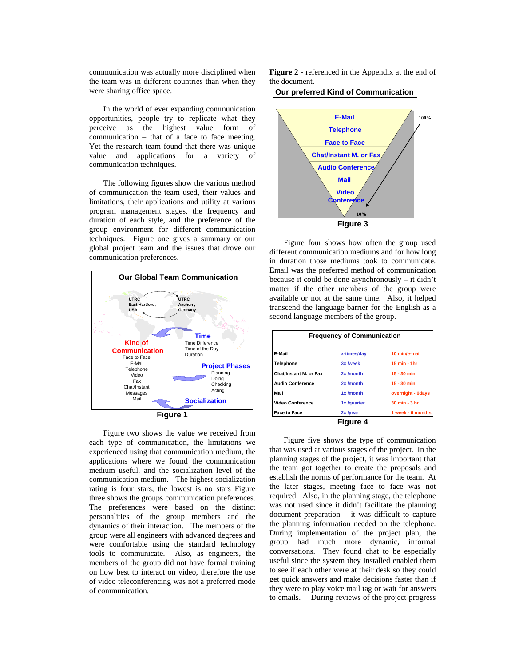communication was actually more disciplined when the team was in different countries than when they were sharing office space.

In the world of ever expanding communication opportunities, people try to replicate what they perceive as the highest value form of communication – that of a face to face meeting. Yet the research team found that there was unique value and applications for a variety of communication techniques.

The following figures show the various method of communication the team used, their values and limitations, their applications and utility at various program management stages, the frequency and duration of each style, and the preference of the group environment for different communication techniques. Figure one gives a summary or our global project team and the issues that drove our communication preferences.



Figure two shows the value we received from each type of communication, the limitations we experienced using that communication medium, the applications where we found the communication medium useful, and the socialization level of the communication medium. The highest socialization rating is four stars, the lowest is no stars Figure three shows the groups communication preferences. The preferences were based on the distinct personalities of the group members and the dynamics of their interaction. The members of the group were all engineers with advanced degrees and were comfortable using the standard technology tools to communicate. Also, as engineers, the members of the group did not have formal training on how best to interact on video, therefore the use of video teleconferencing was not a preferred mode of communication.

**Figure 2** - referenced in the Appendix at the end of the document.

## **Our preferred Kind of Communication**



Figure four shows how often the group used different communication mediums and for how long in duration those mediums took to communicate. Email was the preferred method of communication because it could be done asynchronously – it didn't matter if the other members of the group were available or not at the same time. Also, it helped transcend the language barrier for the English as a second language members of the group.

| <b>Frequency of Communication</b> |             |                         |  |  |
|-----------------------------------|-------------|-------------------------|--|--|
| E-Mail                            | x-times/dav | 10 min/e-mail           |  |  |
| Telephone                         | 3x /week    | $15 \text{ min} - 1$ hr |  |  |
| Chat/Instant M. or Fax            | 2x /month   | $15 - 30$ min           |  |  |
| <b>Audio Conference</b>           | 2x /month   | $15 - 30$ min           |  |  |
| Mail                              | 1x /month   | overnight - 6days       |  |  |
| <b>Video Conference</b>           | 1x/quarter  | 30 min - 3 hr           |  |  |
| <b>Face to Face</b>               | 2x /year    | 1 week - 6 months       |  |  |
|                                   | Figure 4    |                         |  |  |

Figure five shows the type of communication that was used at various stages of the project. In the planning stages of the project, it was important that the team got together to create the proposals and establish the norms of performance for the team. At the later stages, meeting face to face was not required. Also, in the planning stage, the telephone was not used since it didn't facilitate the planning document preparation – it was difficult to capture the planning information needed on the telephone. During implementation of the project plan, the group had much more dynamic, informal conversations. They found chat to be especially useful since the system they installed enabled them to see if each other were at their desk so they could get quick answers and make decisions faster than if they were to play voice mail tag or wait for answers to emails. During reviews of the project progress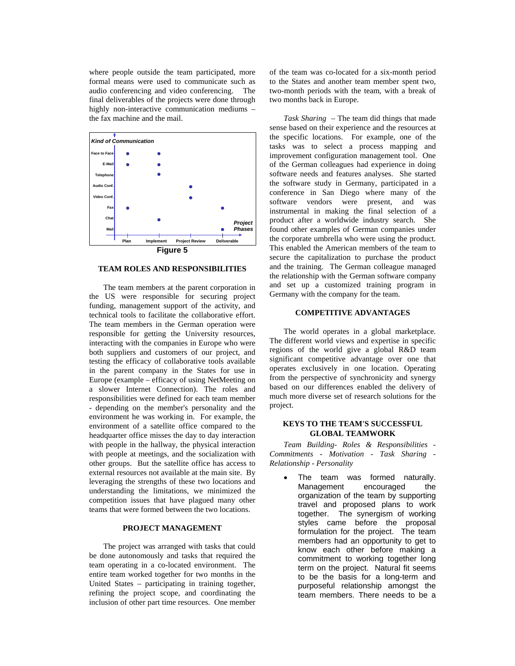where people outside the team participated, more formal means were used to communicate such as audio conferencing and video conferencing. The final deliverables of the projects were done through highly non-interactive communication mediums – the fax machine and the mail.



## **TEAM ROLES AND RESPONSIBILITIES**

The team members at the parent corporation in the US were responsible for securing project funding, management support of the activity, and technical tools to facilitate the collaborative effort. The team members in the German operation were responsible for getting the University resources, interacting with the companies in Europe who were both suppliers and customers of our project, and testing the efficacy of collaborative tools available in the parent company in the States for use in Europe (example – efficacy of using NetMeeting on a slower Internet Connection). The roles and responsibilities were defined for each team member - depending on the member's personality and the environment he was working in. For example, the environment of a satellite office compared to the headquarter office misses the day to day interaction with people in the hallway, the physical interaction with people at meetings, and the socialization with other groups. But the satellite office has access to external resources not available at the main site. By leveraging the strengths of these two locations and understanding the limitations, we minimized the competition issues that have plagued many other teams that were formed between the two locations.

## **PROJECT MANAGEMENT**

The project was arranged with tasks that could be done autonomously and tasks that required the team operating in a co-located environment. The entire team worked together for two months in the United States – participating in training together, refining the project scope, and coordinating the inclusion of other part time resources. One member of the team was co-located for a six-month period to the States and another team member spent two, two-month periods with the team, with a break of two months back in Europe.

*Task Sharing* – The team did things that made sense based on their experience and the resources at the specific locations. For example, one of the tasks was to select a process mapping and improvement configuration management tool. One of the German colleagues had experience in doing software needs and features analyses. She started the software study in Germany, participated in a conference in San Diego where many of the software vendors were present, and was instrumental in making the final selection of a product after a worldwide industry search. She found other examples of German companies under the corporate umbrella who were using the product. This enabled the American members of the team to secure the capitalization to purchase the product and the training. The German colleague managed the relationship with the German software company and set up a customized training program in Germany with the company for the team.

#### **COMPETITIVE ADVANTAGES**

The world operates in a global marketplace. The different world views and expertise in specific regions of the world give a global R&D team significant competitive advantage over one that operates exclusively in one location. Operating from the perspective of synchronicity and synergy based on our differences enabled the delivery of much more diverse set of research solutions for the project.

#### **KEYS TO THE TEAM'S SUCCESSFUL GLOBAL TEAMWORK**

*Team Building- Roles & Responsibilities - Commitments - Motivation - Task Sharing - Relationship - Personality* 

The team was formed naturally. Management encouraged the organization of the team by supporting travel and proposed plans to work together. The synergism of working styles came before the proposal formulation for the project. The team members had an opportunity to get to know each other before making a commitment to working together long term on the project. Natural fit seems to be the basis for a long-term and purposeful relationship amongst the team members. There needs to be a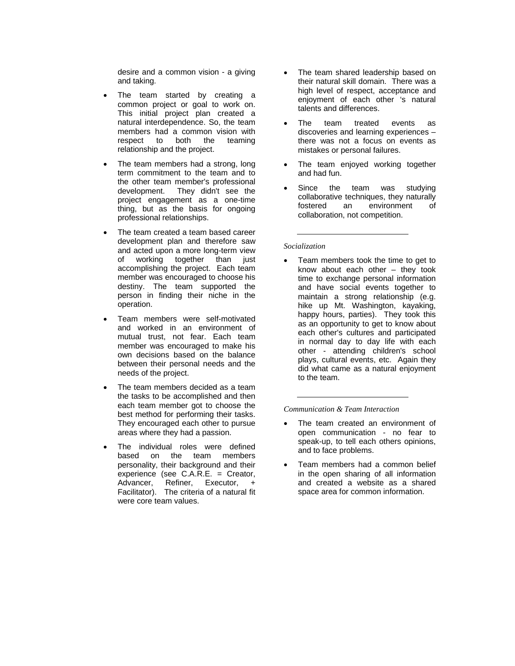desire and a common vision - a giving and taking.

- The team started by creating a common project or goal to work on. This initial project plan created a natural interdependence. So, the team members had a common vision with respect to both the teaming relationship and the project.
- The team members had a strong, long term commitment to the team and to the other team member's professional development. They didn't see the project engagement as a one-time thing, but as the basis for ongoing professional relationships.
- The team created a team based career development plan and therefore saw and acted upon a more long-term view of working together than just accomplishing the project. Each team member was encouraged to choose his destiny. The team supported the person in finding their niche in the operation.
- Team members were self-motivated and worked in an environment of mutual trust, not fear. Each team member was encouraged to make his own decisions based on the balance between their personal needs and the needs of the project.
- The team members decided as a team the tasks to be accomplished and then each team member got to choose the best method for performing their tasks. They encouraged each other to pursue areas where they had a passion.
- The individual roles were defined based on the team members personality, their background and their experience (see C.A.R.E. = Creator, Advancer, Refiner, Executor, + Facilitator). The criteria of a natural fit were core team values.
- The team shared leadership based on their natural skill domain. There was a high level of respect, acceptance and enjoyment of each other 's natural talents and differences.
- The team treated events as discoveries and learning experiences – there was not a focus on events as mistakes or personal failures.
- The team enjoyed working together and had fun.
- Since the team was studying collaborative techniques, they naturally fostered an environment of collaboration, not competition.

#### *Socialization*

• Team members took the time to get to know about each other – they took time to exchange personal information and have social events together to maintain a strong relationship (e.g. hike up Mt. Washington, kayaking, happy hours, parties). They took this as an opportunity to get to know about each other's cultures and participated in normal day to day life with each other - attending children's school plays, cultural events, etc. Again they did what came as a natural enjoyment to the team.

#### *Communication & Team Interaction*

- The team created an environment of open communication - no fear to speak-up, to tell each others opinions, and to face problems.
- Team members had a common belief in the open sharing of all information and created a website as a shared space area for common information.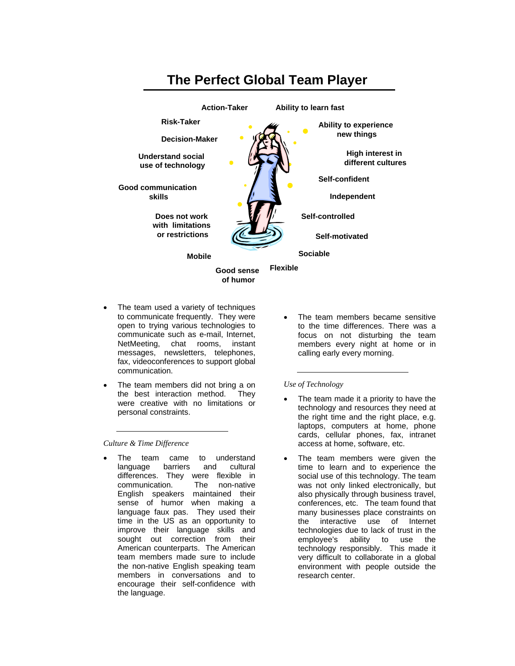

- The team used a variety of techniques to communicate frequently. They were open to trying various technologies to communicate such as e-mail, Internet, NetMeeting, chat rooms, instant messages, newsletters, telephones, fax, videoconferences to support global communication.
- The team members did not bring a on the best interaction method. They were creative with no limitations or personal constraints.

*Culture & Time Difference* 

The team came to understand language barriers and cultural differences. They were flexible in<br>communication. The non-native communication. English speakers maintained their sense of humor when making a language faux pas. They used their time in the US as an opportunity to improve their language skills and sought out correction from their American counterparts. The American team members made sure to include the non-native English speaking team members in conversations and to encourage their self-confidence with the language.

The team members became sensitive to the time differences. There was a focus on not disturbing the team members every night at home or in calling early every morning.

*Use of Technology* 

- The team made it a priority to have the technology and resources they need at the right time and the right place, e.g. laptops, computers at home, phone cards, cellular phones, fax, intranet access at home, software, etc.
- The team members were given the time to learn and to experience the social use of this technology. The team was not only linked electronically, but also physically through business travel, conferences, etc. The team found that many businesses place constraints on the interactive use of Internet technologies due to lack of trust in the employee's ability to use the technology responsibly. This made it very difficult to collaborate in a global environment with people outside the research center.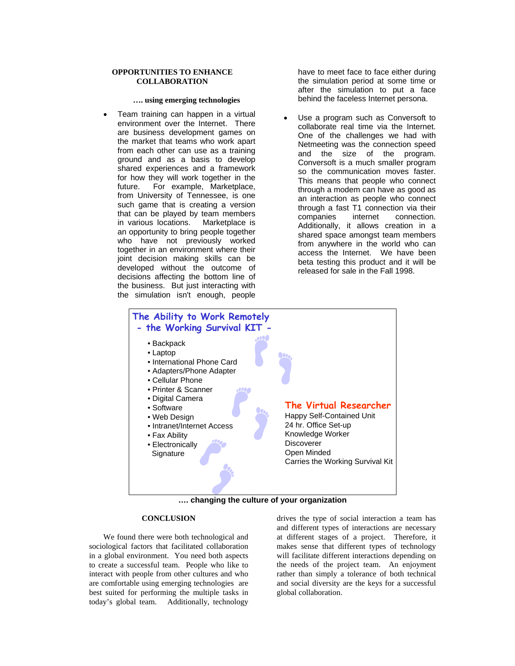#### **OPPORTUNITIES TO ENHANCE COLLABORATION**

#### **…. using emerging technologies**

• Team training can happen in a virtual environment over the Internet. There are business development games on the market that teams who work apart from each other can use as a training ground and as a basis to develop shared experiences and a framework for how they will work together in the future. For example, Marketplace, from University of Tennessee, is one such game that is creating a version that can be played by team members<br>in various locations. Marketplace is in various locations. an opportunity to bring people together who have not previously worked together in an environment where their joint decision making skills can be developed without the outcome of decisions affecting the bottom line of the business. But just interacting with the simulation isn't enough, people

have to meet face to face either during the simulation period at some time or after the simulation to put a face behind the faceless Internet persona.

Use a program such as Conversoft to collaborate real time via the Internet. One of the challenges we had with Netmeeting was the connection speed and the size of the program. Conversoft is a much smaller program so the communication moves faster. This means that people who connect through a modem can have as good as an interaction as people who connect through a fast T1 connection via their<br>companies internet connection. companies internet connection. Additionally, it allows creation in a shared space amongst team members from anywhere in the world who can access the Internet. We have been beta testing this product and it will be released for sale in the Fall 1998.





### **CONCLUSION**

We found there were both technological and sociological factors that facilitated collaboration in a global environment. You need both aspects to create a successful team. People who like to interact with people from other cultures and who are comfortable using emerging technologies are best suited for performing the multiple tasks in today's global team. Additionally, technology

drives the type of social interaction a team has and different types of interactions are necessary at different stages of a project. Therefore, it makes sense that different types of technology will facilitate different interactions depending on the needs of the project team. An enjoyment rather than simply a tolerance of both technical and social diversity are the keys for a successful global collaboration.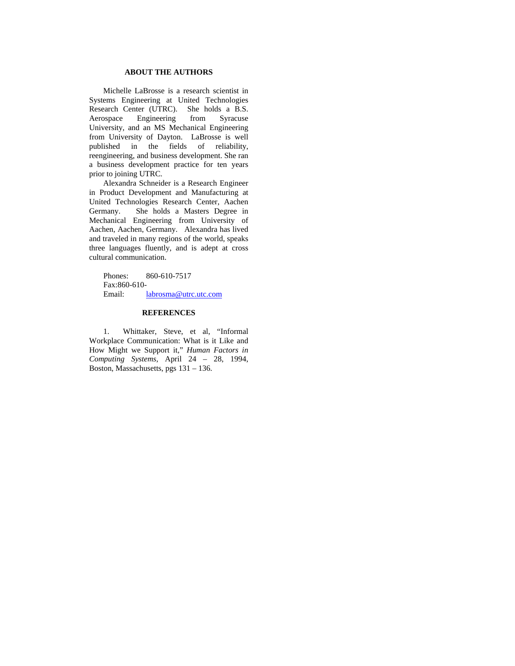## **ABOUT THE AUTHORS**

Michelle LaBrosse is a research scientist in Systems Engineering at United Technologies Research Center (UTRC). She holds a B.S. Aerospace Engineering from Syracuse University, and an MS Mechanical Engineering from University of Dayton. LaBrosse is well published in the fields of reliability, reengineering, and business development. She ran a business development practice for ten years prior to joining UTRC.

Alexandra Schneider is a Research Engineer in Product Development and Manufacturing at United Technologies Research Center, Aachen Germany. She holds a Masters Degree in Mechanical Engineering from University of Aachen, Aachen, Germany. Alexandra has lived and traveled in many regions of the world, speaks three languages fluently, and is adept at cross cultural communication.

Phones: 860-610-7517 Fax: 860-610- Email: labrosma@utrc.utc.com

#### **REFERENCES**

1. Whittaker, Steve, et al, "Informal Workplace Communication: What is it Like and How Might we Support it," *Human Factors in Computing Systems*, April 24 – 28, 1994, Boston, Massachusetts, pgs 131 – 136.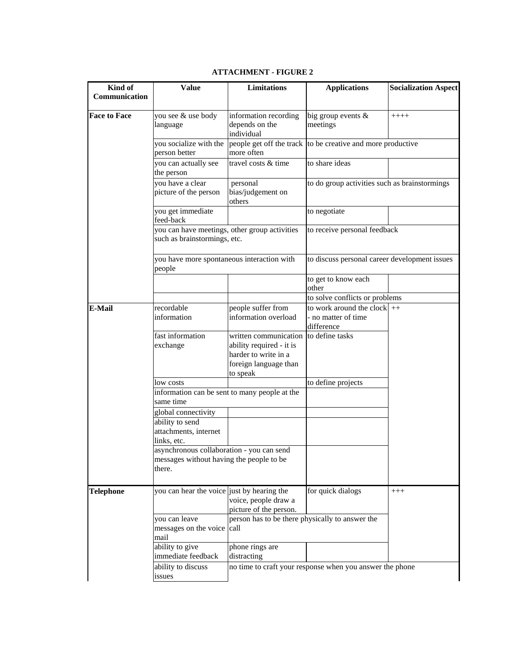| Kind of             | <b>Value</b>                                                                                                   | Limitations                                                               | <b>Applications</b>                                         | <b>Socialization Aspect</b> |
|---------------------|----------------------------------------------------------------------------------------------------------------|---------------------------------------------------------------------------|-------------------------------------------------------------|-----------------------------|
| Communication       |                                                                                                                |                                                                           |                                                             |                             |
| <b>Face to Face</b> | you see & use body<br>language                                                                                 | information recording<br>depends on the<br>individual                     | big group events &<br>meetings                              | $++++$                      |
|                     | you socialize with the<br>person better                                                                        | more often                                                                | people get off the track to be creative and more productive |                             |
|                     | you can actually see<br>the person                                                                             | travel costs & time                                                       | to share ideas                                              |                             |
|                     | you have a clear<br>picture of the person                                                                      | personal<br>bias/judgement on<br>others                                   | to do group activities such as brainstormings               |                             |
|                     | you get immediate<br>feed-back                                                                                 |                                                                           | to negotiate                                                |                             |
|                     | you can have meetings, other group activities<br>such as brainstormings, etc.                                  |                                                                           | to receive personal feedback                                |                             |
|                     | you have more spontaneous interaction with<br>people                                                           | to discuss personal career development issues                             |                                                             |                             |
|                     |                                                                                                                |                                                                           | to get to know each<br>other                                |                             |
|                     |                                                                                                                |                                                                           | to solve conflicts or problems                              |                             |
| <b>E-Mail</b>       | recordable                                                                                                     | people suffer from                                                        | to work around the clock $ ++$                              |                             |
|                     | information                                                                                                    | information overload                                                      | - no matter of time<br>difference                           |                             |
|                     | fast information                                                                                               | written communication                                                     | to define tasks                                             |                             |
|                     | exchange                                                                                                       | ability required - it is                                                  |                                                             |                             |
|                     |                                                                                                                | harder to write in a                                                      |                                                             |                             |
|                     |                                                                                                                | foreign language than<br>to speak                                         |                                                             |                             |
|                     | low costs                                                                                                      |                                                                           | to define projects                                          |                             |
|                     | same time                                                                                                      | information can be sent to many people at the                             |                                                             |                             |
|                     | global connectivity                                                                                            |                                                                           |                                                             |                             |
|                     | ability to send<br>attachments, internet                                                                       |                                                                           |                                                             |                             |
|                     | links, etc.<br>asynchronous collaboration - you can send<br>messages without having the people to be<br>there. |                                                                           |                                                             |                             |
| <b>Telephone</b>    | you can hear the voice just by hearing the                                                                     | voice, people draw a                                                      | for quick dialogs                                           | $^{+++}$                    |
|                     | you can leave<br>messages on the voice call<br>mail                                                            | picture of the person.<br>person has to be there physically to answer the |                                                             |                             |
|                     | ability to give<br>immediate feedback                                                                          | phone rings are<br>distracting                                            |                                                             |                             |
|                     | ability to discuss<br>issues                                                                                   |                                                                           | no time to craft your response when you answer the phone    |                             |

# **ATTACHMENT - FIGURE 2**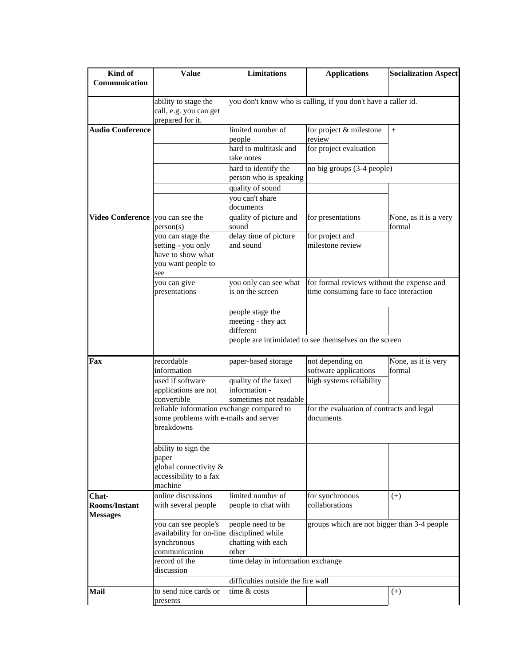| Kind of                                          | <b>Value</b>                                   | Limitations                                                                                                                                  | <b>Applications</b>                                    | <b>Socialization Aspect</b>     |  |
|--------------------------------------------------|------------------------------------------------|----------------------------------------------------------------------------------------------------------------------------------------------|--------------------------------------------------------|---------------------------------|--|
| Communication                                    |                                                |                                                                                                                                              |                                                        |                                 |  |
|                                                  |                                                |                                                                                                                                              |                                                        |                                 |  |
|                                                  | ability to stage the<br>call, e.g. you can get | you don't know who is calling, if you don't have a caller id.                                                                                |                                                        |                                 |  |
|                                                  | prepared for it.                               |                                                                                                                                              |                                                        |                                 |  |
| <b>Audio Conference</b>                          |                                                | limited number of                                                                                                                            | for project & milestone                                | $+$                             |  |
|                                                  |                                                | people                                                                                                                                       | review                                                 |                                 |  |
|                                                  |                                                | hard to multitask and                                                                                                                        | for project evaluation                                 |                                 |  |
|                                                  |                                                | take notes                                                                                                                                   |                                                        |                                 |  |
|                                                  |                                                | hard to identify the                                                                                                                         | no big groups (3-4 people)                             |                                 |  |
|                                                  |                                                | person who is speaking                                                                                                                       |                                                        |                                 |  |
|                                                  |                                                | quality of sound                                                                                                                             |                                                        |                                 |  |
|                                                  |                                                | you can't share                                                                                                                              |                                                        |                                 |  |
|                                                  |                                                | documents                                                                                                                                    |                                                        |                                 |  |
| <b>Video Conference</b> you can see the          | person(s)                                      | quality of picture and<br>sound                                                                                                              | for presentations                                      | None, as it is a very<br>formal |  |
|                                                  | you can stage the                              | delay time of picture                                                                                                                        | for project and                                        |                                 |  |
|                                                  | setting - you only                             | and sound                                                                                                                                    | milestone review                                       |                                 |  |
|                                                  | have to show what                              |                                                                                                                                              |                                                        |                                 |  |
|                                                  | you want people to                             |                                                                                                                                              |                                                        |                                 |  |
|                                                  | see                                            |                                                                                                                                              |                                                        |                                 |  |
|                                                  | you can give                                   | you only can see what                                                                                                                        | for formal reviews without the expense and             |                                 |  |
|                                                  | presentations                                  | is on the screen                                                                                                                             | time consuming face to face interaction                |                                 |  |
|                                                  |                                                |                                                                                                                                              |                                                        |                                 |  |
|                                                  |                                                | people stage the                                                                                                                             |                                                        |                                 |  |
|                                                  |                                                | meeting - they act<br>different                                                                                                              |                                                        |                                 |  |
|                                                  |                                                |                                                                                                                                              | people are intimidated to see themselves on the screen |                                 |  |
|                                                  |                                                |                                                                                                                                              |                                                        |                                 |  |
| Fax                                              | recordable                                     | paper-based storage                                                                                                                          | not depending on                                       | None, as it is very             |  |
|                                                  | information                                    |                                                                                                                                              | software applications                                  | formal                          |  |
|                                                  | used if software                               | quality of the faxed                                                                                                                         | high systems reliability                               |                                 |  |
|                                                  | applications are not                           | information -                                                                                                                                |                                                        |                                 |  |
|                                                  | convertible                                    | sometimes not readable                                                                                                                       |                                                        |                                 |  |
|                                                  |                                                | reliable information exchange compared to<br>for the evaluation of contracts and legal<br>some problems with e-mails and server<br>documents |                                                        |                                 |  |
|                                                  |                                                |                                                                                                                                              |                                                        |                                 |  |
|                                                  | breakdowns                                     |                                                                                                                                              |                                                        |                                 |  |
|                                                  |                                                |                                                                                                                                              |                                                        |                                 |  |
|                                                  | ability to sign the<br>paper                   |                                                                                                                                              |                                                        |                                 |  |
|                                                  | global connectivity &                          |                                                                                                                                              |                                                        |                                 |  |
|                                                  | accessibility to a fax                         |                                                                                                                                              |                                                        |                                 |  |
|                                                  | machine                                        |                                                                                                                                              |                                                        |                                 |  |
| Chat-                                            | online discussions                             | limited number of                                                                                                                            | for synchronous                                        | $(+)$                           |  |
| Rooms/Instant                                    | with several people                            | people to chat with                                                                                                                          | collaborations                                         |                                 |  |
| <b>Messages</b>                                  |                                                |                                                                                                                                              |                                                        |                                 |  |
|                                                  | you can see people's                           | people need to be                                                                                                                            | groups which are not bigger than 3-4 people            |                                 |  |
|                                                  | availability for on-line                       | disciplined while                                                                                                                            |                                                        |                                 |  |
|                                                  | synchronous                                    | chatting with each                                                                                                                           |                                                        |                                 |  |
|                                                  | communication<br>record of the                 | other                                                                                                                                        |                                                        |                                 |  |
| time delay in information exchange<br>discussion |                                                |                                                                                                                                              |                                                        |                                 |  |
|                                                  |                                                | difficulties outside the fire wall                                                                                                           |                                                        |                                 |  |
| Mail                                             | to send nice cards or                          | time & costs                                                                                                                                 |                                                        | $^{(+)}$                        |  |
|                                                  | presents                                       |                                                                                                                                              |                                                        |                                 |  |